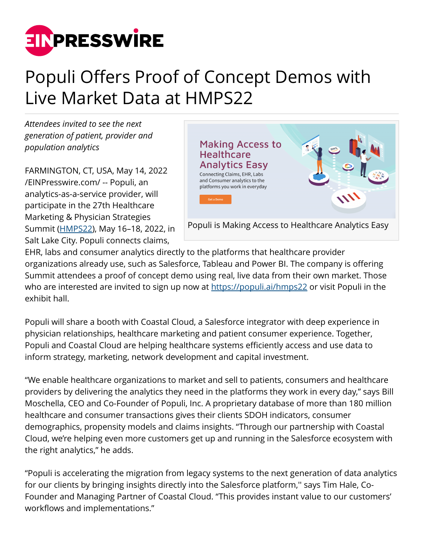

## Populi Offers Proof of Concept Demos with Live Market Data at HMPS22

*Attendees invited to see the next generation of patient, provider and population analytics*

FARMINGTON, CT, USA, May 14, 2022 [/EINPresswire.com/](http://www.einpresswire.com) -- Populi, an analytics-as-a-service provider, will participate in the 27th Healthcare Marketing & Physician Strategies Summit [\(HMPS22](https://populi.ai/HMPS22/)), May 16–18, 2022, in Salt Lake City. Populi connects claims,



EHR, labs and consumer analytics directly to the platforms that healthcare provider organizations already use, such as Salesforce, Tableau and Power BI. The company is offering Summit attendees a proof of concept demo using real, live data from their own market. Those who are interested are invited to sign up now at<https://populi.ai/hmps22>or visit Populi in the exhibit hall.

Populi will share a booth with Coastal Cloud, a Salesforce integrator with deep experience in physician relationships, healthcare marketing and patient consumer experience. Together, Populi and Coastal Cloud are helping healthcare systems efficiently access and use data to inform strategy, marketing, network development and capital investment.

"We enable healthcare organizations to market and sell to patients, consumers and healthcare providers by delivering the analytics they need in the platforms they work in every day," says Bill Moschella, CEO and Co-Founder of Populi, Inc. A proprietary database of more than 180 million healthcare and consumer transactions gives their clients SDOH indicators, consumer demographics, propensity models and claims insights. "Through our partnership with Coastal Cloud, we're helping even more customers get up and running in the Salesforce ecosystem with the right analytics," he adds.

"Populi is accelerating the migration from legacy systems to the next generation of data analytics for our clients by bringing insights directly into the Salesforce platform,'' says Tim Hale, Co-Founder and Managing Partner of Coastal Cloud. "This provides instant value to our customers' workflows and implementations."